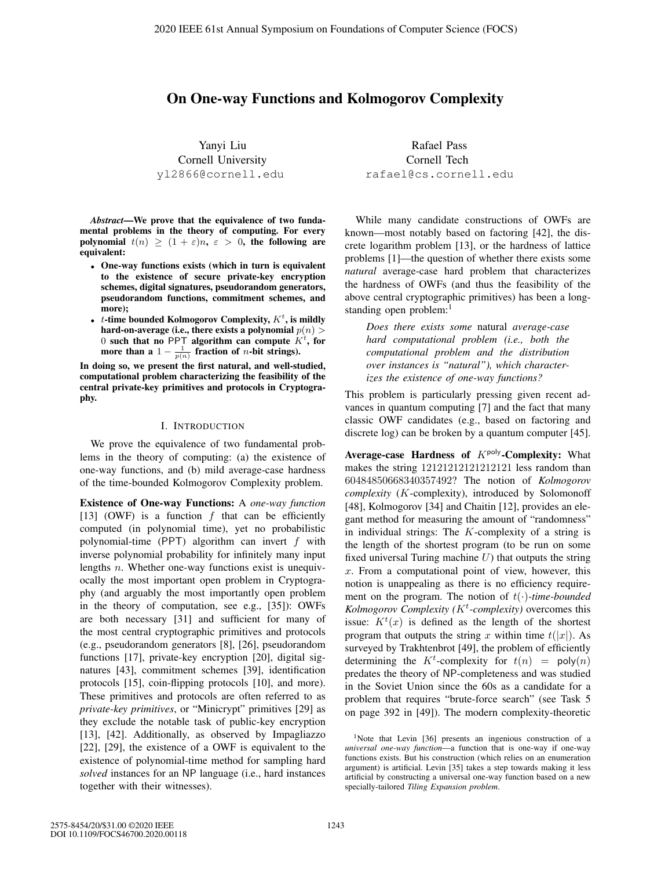# On One-way Functions and Kolmogorov Complexity

Yanyi Liu Cornell University yl2866@cornell.edu

*Abstract*—We prove that the equivalence of two fundamental problems in the theory of computing. For every polynomial  $t(n) \ge (1 + \varepsilon)n$ ,  $\varepsilon > 0$ , the following are equivalent:

- One-way functions exists (which in turn is equivalent to the existence of secure private-key encryption schemes, digital signatures, pseudorandom generators, pseudorandom functions, commitment schemes, and more);
- *t*-time bounded Kolmogorov Complexity,  $K^t$ , is mildly hard-on-average (i.e., there exists a polynomial  $p(n)$   $>$ 0 such that no PPT algorithm can compute  $K<sup>t</sup>$ , for more than a  $1 - \frac{1}{p(n)}$  fraction of *n*-bit strings).

In doing so, we present the first natural, and well-studied, computational problem characterizing the feasibility of the central private-key primitives and protocols in Cryptography.

#### I. INTRODUCTION

We prove the equivalence of two fundamental problems in the theory of computing: (a) the existence of one-way functions, and (b) mild average-case hardness of the time-bounded Kolmogorov Complexity problem.

Existence of One-way Functions: A *one-way function* [13] (OWF) is a function  $f$  that can be efficiently computed (in polynomial time), yet no probabilistic polynomial-time (PPT) algorithm can invert  $f$  with inverse polynomial probability for infinitely many input lengths n. Whether one-way functions exist is unequivocally the most important open problem in Cryptography (and arguably the most importantly open problem in the theory of computation, see e.g., [35]): OWFs are both necessary [31] and sufficient for many of the most central cryptographic primitives and protocols (e.g., pseudorandom generators [8], [26], pseudorandom functions [17], private-key encryption [20], digital signatures [43], commitment schemes [39], identification protocols [15], coin-flipping protocols [10], and more). These primitives and protocols are often referred to as *private-key primitives*, or "Minicrypt" primitives [29] as they exclude the notable task of public-key encryption [13], [42]. Additionally, as observed by Impagliazzo [22], [29], the existence of a OWF is equivalent to the existence of polynomial-time method for sampling hard *solved* instances for an NP language (i.e., hard instances together with their witnesses).

Rafael Pass Cornell Tech rafael@cs.cornell.edu

While many candidate constructions of OWFs are known—most notably based on factoring [42], the discrete logarithm problem [13], or the hardness of lattice problems [1]—the question of whether there exists some *natural* average-case hard problem that characterizes the hardness of OWFs (and thus the feasibility of the above central cryptographic primitives) has been a longstanding open problem:<sup>1</sup>

*Does there exists some* natural *average-case hard computational problem (i.e., both the computational problem and the distribution over instances is "natural"), which characterizes the existence of one-way functions?*

This problem is particularly pressing given recent advances in quantum computing [7] and the fact that many classic OWF candidates (e.g., based on factoring and discrete log) can be broken by a quantum computer [45].

Average-case Hardness of  $K^{poly}$ -Complexity: What makes the string 12121212121212121 less random than 60484850668340357492? The notion of *Kolmogorov complexity* (K-complexity), introduced by Solomonoff [48], Kolmogorov [34] and Chaitin [12], provides an elegant method for measuring the amount of "randomness" in individual strings: The  $K$ -complexity of a string is the length of the shortest program (to be run on some fixed universal Turing machine  $U$ ) that outputs the string  $x$ . From a computational point of view, however, this notion is unappealing as there is no efficiency requirement on the program. The notion of  $t(\cdot)$ -time-bounded *Kolmogorov Complexity (*K<sup>t</sup> *-complexity)* overcomes this issue:  $K^t(x)$  is defined as the length of the shortest<br>program that outputs the string x within time  $t(|x|)$ . program that outputs the string x within time  $t(|x|)$ . As surveyed by Trakhtenbrot [49], the problem of efficiently determining the  $K^t$ -complexity for  $t(n) = \text{poly}(n)$ <br>predates the theory of NP-completeness and was studied predates the theory of NP-completeness and was studied in the Soviet Union since the 60s as a candidate for a problem that requires "brute-force search" (see Task 5 on page 392 in [49]). The modern complexity-theoretic

<sup>&</sup>lt;sup>1</sup>Note that Levin [36] presents an ingenious construction of a *universal one-way function*—a function that is one-way if one-way functions exists. But his construction (which relies on an enumeration argument) is artificial. Levin [35] takes a step towards making it less artificial by constructing a universal one-way function based on a new specially-tailored *Tiling Expansion problem*.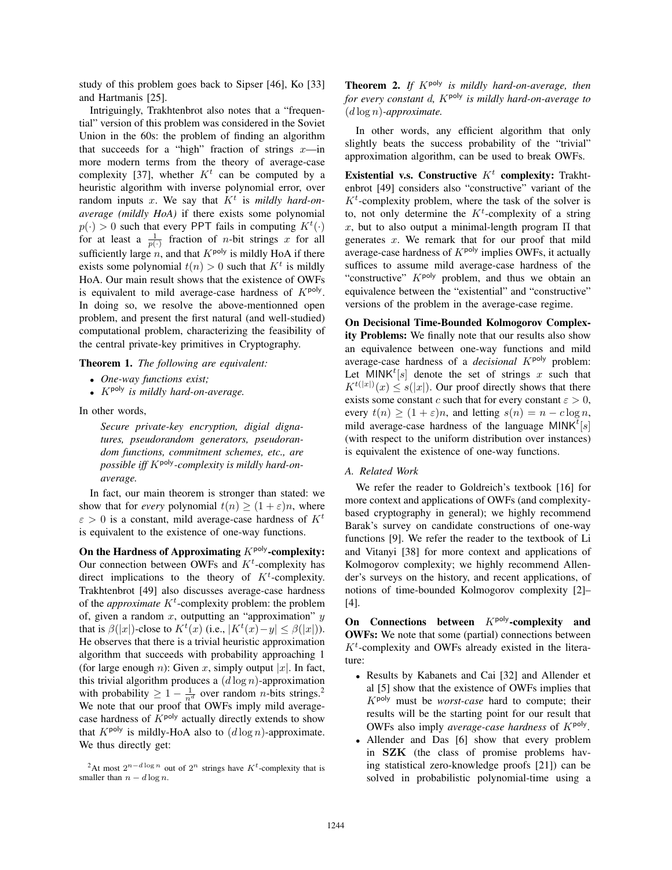study of this problem goes back to Sipser [46], Ko [33] and Hartmanis [25].

Intriguingly, Trakhtenbrot also notes that a "frequential" version of this problem was considered in the Soviet Union in the 60s: the problem of finding an algorithm that succeeds for a "high" fraction of strings  $x$ —in more modern terms from the theory of average-case complexity [37], whether  $K<sup>t</sup>$  can be computed by a heuristic algorithm with inverse polynomial error, over random inputs x. We say that  $K<sup>t</sup>$  is *mildly hard-onaverage (mildly HoA)* if there exists some polynomial  $p(\cdot) > 0$  such that every PPT fails in computing  $K^t(\cdot)$ <br>for at least a  $\frac{1}{\sqrt{t}}$  fraction of *n*-bit strings *x* for all for at least a  $\frac{1}{p(\cdot)}$  fraction of *n*-bit strings x for all<br>explorative large n and that  $K^{poly}$  is mildly He A if there sufficiently large n, and that  $K^{poly}$  is mildly HoA if there exists some polynomial  $t(n) > 0$  such that  $K<sup>t</sup>$  is mildly HoA. Our main result shows that the existence of OWFs is equivalent to mild average-case hardness of  $K^{poly}$ . In doing so, we resolve the above-mentionned open problem, and present the first natural (and well-studied) computational problem, characterizing the feasibility of the central private-key primitives in Cryptography.

Theorem 1. *The following are equivalent:*

- *One-way functions exist;*
- Kpoly *is mildly hard-on-average.*

In other words,

*Secure private-key encryption, digial dignatures, pseudorandom generators, pseudorandom functions, commitment schemes, etc., are* possible iff K<sup>poly</sup>-complexity is mildly hard-on*average.*

In fact, our main theorem is stronger than stated: we show that for *every* polynomial  $t(n) \geq (1 + \varepsilon)n$ , where  $\varepsilon > 0$  is a constant, mild average-case hardness of  $K<sup>t</sup>$ is equivalent to the existence of one-way functions.

On the Hardness of Approximating  $K^{\text{poly}}$ -complexity: Our connection between OWFs and  $K<sup>t</sup>$ -complexity has direct implications to the theory of  $K^t$ -complexity. Trakhtenbrot [49] also discusses average-case hardness of the *approximate*  $K^t$ -complexity problem: the problem of, given a random  $x$ , outputting an "approximation"  $y$ that is  $\beta(|x|)$ -close to  $K^t(x)$  (i.e.,  $|K^t(x) - y| \leq \beta(|x|)$ ).<br>He observes that there is a trivial heuristic approximation He observes that there is a trivial heuristic approximation algorithm that succeeds with probability approaching 1 (for large enough n): Given x, simply output |x|. In fact, this trivial algorithm produces a  $(d \log n)$ -approximation with probability  $\geq 1 - \frac{1}{n^d}$  over random *n*-bits strings.<sup>2</sup> We note that our proof that OWFs imply mild averagecase hardness of  $K^{poly}$  actually directly extends to show that  $K^{poly}$  is mildly-HoA also to  $(d \log n)$ -approximate. We thus directly get:

Theorem 2. *If* Kpoly *is mildly hard-on-average, then for every constant d, K*<sup>poly</sup> *is mildly hard-on-average to* (<sup>d</sup> log <sup>n</sup>)*-approximate.*

In other words, any efficient algorithm that only slightly beats the success probability of the "trivial" approximation algorithm, can be used to break OWFs.

Existential v.s. Constructive  $K<sup>t</sup>$  complexity: Trakhtenbrot [49] considers also "constructive" variant of the  $K<sup>t</sup>$ -complexity problem, where the task of the solver is to, not only determine the  $K<sup>t</sup>$ -complexity of a string x, but to also output a minimal-length program  $\Pi$  that generates  $x$ . We remark that for our proof that mild average-case hardness of  $K^{poly}$  implies OWFs, it actually suffices to assume mild average-case hardness of the "constructive"  $K<sup>poly</sup>$  problem, and thus we obtain an equivalence between the "existential" and "constructive" versions of the problem in the average-case regime.

On Decisional Time-Bounded Kolmogorov Complexity Problems: We finally note that our results also show an equivalence between one-way functions and mild average-case hardness of a *decisional K*<sup>poly</sup> problem: Let MINK<sup>t</sup>[s] denote the set of strings x such that  $K^{t(|x|)}/x \leq s(|x|)$  Our proof directly shows that there  $K^{t(|x|)}(x) \leq s(|x|)$ . Our proof directly shows that there exists some constant c such that for every constant  $\varepsilon > 0$ . exists some constant c such that for every constant  $\varepsilon > 0$ , every  $t(n) \ge (1 + \varepsilon)n$ , and letting  $s(n) = n - c \log n$ , mild average-case hardness of the language  $MINK^t[s]$ <br>(with respect to the uniform distribution over instances) (with respect to the uniform distribution over instances) is equivalent the existence of one-way functions.

# *A. Related Work*

We refer the reader to Goldreich's textbook [16] for more context and applications of OWFs (and complexitybased cryptography in general); we highly recommend Barak's survey on candidate constructions of one-way functions [9]. We refer the reader to the textbook of Li and Vitanyi [38] for more context and applications of Kolmogorov complexity; we highly recommend Allender's surveys on the history, and recent applications, of notions of time-bounded Kolmogorov complexity [2]– [4].

On Connections between  $K^{poly}$ -complexity and OWFs: We note that some (partial) connections between  $K<sup>t</sup>$ -complexity and OWFs already existed in the literature:

- Results by Kabanets and Cai [32] and Allender et al [5] show that the existence of OWFs implies that Kpoly must be *worst-case* hard to compute; their results will be the starting point for our result that OWFs also imply *average-case hardness* of  $K^{poly}$ .
- Allender and Das [6] show that every problem in **SZK** (the class of promise problems having statistical zero-knowledge proofs [21]) can be solved in probabilistic polynomial-time using a

<sup>&</sup>lt;sup>2</sup>At most  $2^{n-d \log n}$  out of  $2^n$  strings have K<sup>t</sup>-complexity that is smaller than  $n - d \log n$ .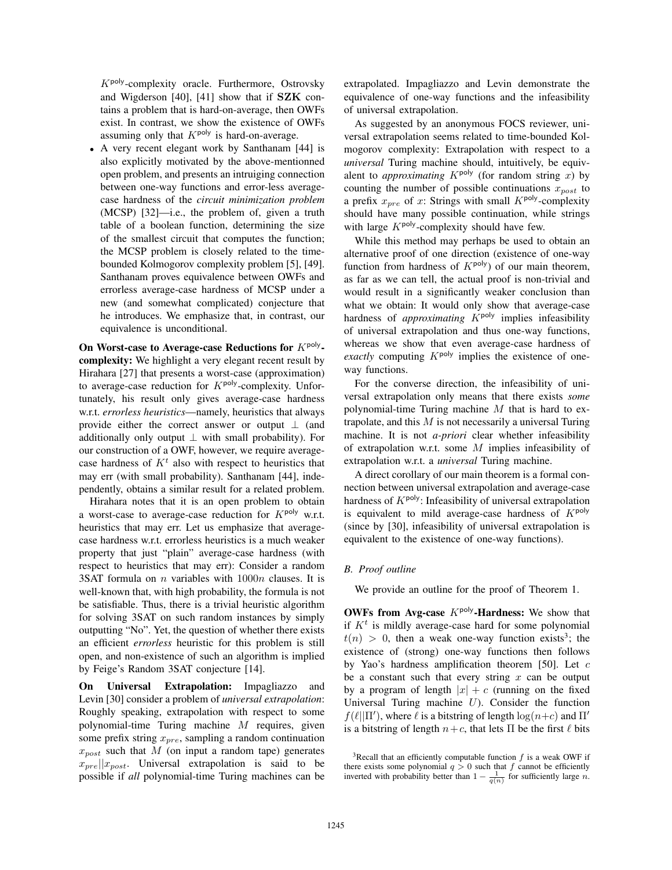$K<sub>poly</sub>$ -complexity oracle. Furthermore, Ostrovsky and Wigderson [40], [41] show that if **SZK** contains a problem that is hard-on-average, then OWFs exist. In contrast, we show the existence of OWFs assuming only that  $K^{poly}$  is hard-on-average.

• A very recent elegant work by Santhanam [44] is also explicitly motivated by the above-mentionned open problem, and presents an intruiging connection between one-way functions and error-less averagecase hardness of the *circuit minimization problem* (MCSP) [32]—i.e., the problem of, given a truth table of a boolean function, determining the size of the smallest circuit that computes the function; the MCSP problem is closely related to the timebounded Kolmogorov complexity problem [5], [49]. Santhanam proves equivalence between OWFs and errorless average-case hardness of MCSP under a new (and somewhat complicated) conjecture that he introduces. We emphasize that, in contrast, our equivalence is unconditional.

On Worst-case to Average-case Reductions for  $K^{\text{poly}}$ complexity: We highlight a very elegant recent result by Hirahara [27] that presents a worst-case (approximation) to average-case reduction for  $K^{\text{poly}}$ -complexity. Unfortunately, his result only gives average-case hardness w.r.t. *errorless heuristics*—namely, heuristics that always provide either the correct answer or output  $\perp$  (and additionally only output  $\perp$  with small probability). For our construction of a OWF, however, we require averagecase hardness of  $K<sup>t</sup>$  also with respect to heuristics that may err (with small probability). Santhanam [44], independently, obtains a similar result for a related problem.

Hirahara notes that it is an open problem to obtain a worst-case to average-case reduction for  $K^{\text{poly}}$  w.r.t. heuristics that may err. Let us emphasize that averagecase hardness w.r.t. errorless heuristics is a much weaker property that just "plain" average-case hardness (with respect to heuristics that may err): Consider a random 3SAT formula on  $n$  variables with  $1000n$  clauses. It is well-known that, with high probability, the formula is not be satisfiable. Thus, there is a trivial heuristic algorithm for solving 3SAT on such random instances by simply outputting "No". Yet, the question of whether there exists an efficient *errorless* heuristic for this problem is still open, and non-existence of such an algorithm is implied by Feige's Random 3SAT conjecture [14].

On Universal Extrapolation: Impagliazzo and Levin [30] consider a problem of *universal extrapolation*: Roughly speaking, extrapolation with respect to some polynomial-time Turing machine M requires, given some prefix string  $x_{pre}$ , sampling a random continuation  $x_{post}$  such that M (on input a random tape) generates  $x_{pre}||x_{post}$ . Universal extrapolation is said to be possible if *all* polynomial-time Turing machines can be extrapolated. Impagliazzo and Levin demonstrate the equivalence of one-way functions and the infeasibility of universal extrapolation.

As suggested by an anonymous FOCS reviewer, universal extrapolation seems related to time-bounded Kolmogorov complexity: Extrapolation with respect to a *universal* Turing machine should, intuitively, be equivalent to *approximating*  $K^{poly}$  (for random string x) by counting the number of possible continuations  $x_{post}$  to a prefix  $x_{pre}$  of x: Strings with small  $K^{poly}$ -complexity should have many possible continuation, while strings with large  $K^{poly}$ -complexity should have few.

While this method may perhaps be used to obtain an alternative proof of one direction (existence of one-way function from hardness of  $K^{poly}$ ) of our main theorem, as far as we can tell, the actual proof is non-trivial and would result in a significantly weaker conclusion than what we obtain: It would only show that average-case hardness of *approximating*  $K^{poly}$  implies infeasibility of universal extrapolation and thus one-way functions, whereas we show that even average-case hardness of *exactly* computing  $K^{poly}$  implies the existence of oneway functions.

For the converse direction, the infeasibility of universal extrapolation only means that there exists *some* polynomial-time Turing machine  $M$  that is hard to extrapolate, and this  $M$  is not necessarily a universal Turing machine. It is not *a-priori* clear whether infeasibility of extrapolation w.r.t. some  $M$  implies infeasibility of extrapolation w.r.t. a *universal* Turing machine.

A direct corollary of our main theorem is a formal connection between universal extrapolation and average-case hardness of  $K^{poly}$ : Infeasibility of universal extrapolation is equivalent to mild average-case hardness of  $K^{poly}$ (since by [30], infeasibility of universal extrapolation is equivalent to the existence of one-way functions).

# *B. Proof outline*

We provide an outline for the proof of Theorem 1.

OWFs from Avg-case  $K^{poly}$ -Hardness: We show that if  $K<sup>t</sup>$  is mildly average-case hard for some polynomial  $t(n) > 0$ , then a weak one-way function exists<sup>3</sup>; the existence of (strong) one-way functions then follows by Yao's hardness amplification theorem [50]. Let  $c$ be a constant such that every string  $x$  can be output by a program of length  $|x| + c$  (running on the fixed Universal Turing machine  $U$ ). Consider the function  $f(\ell||\Pi')$ , where  $\ell$  is a bitstring of length  $\log(n+c)$  and  $\Pi'$ <br>is a bitstring of length  $n+c$ , that lets  $\Pi$  be the first  $\ell$  bits is a bitstring of length  $n+c$ , that lets  $\Pi$  be the first  $\ell$  bits

<sup>&</sup>lt;sup>3</sup>Recall that an efficiently computable function  $f$  is a weak OWF if there exists some polynomial  $q > 0$  such that f cannot be efficiently<br>inverted with probability better than  $1 - \frac{1}{q}$  for sufficiently large n inverted with probability better than  $1 - \frac{1}{q(n)}$  for sufficiently large *n*.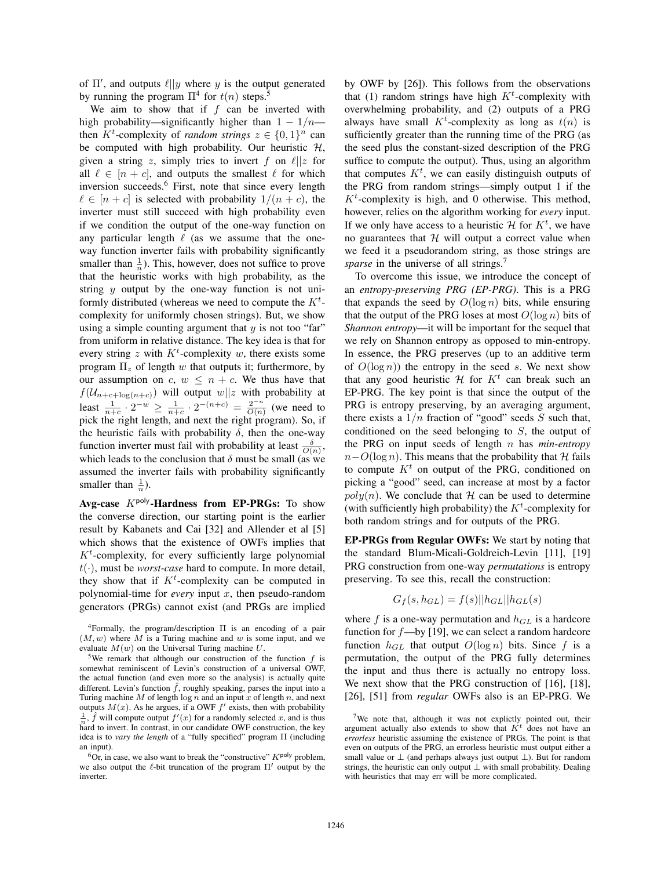of  $\Pi'$ , and outputs  $\ell || y$  where y is the output generated<br>by running the program  $\Pi^4$  for  $t(n)$  steps <sup>5</sup> by running the program  $\Pi^4$  for  $t(n)$  steps.<sup>5</sup>

We aim to show that if  $f$  can be inverted with high probability—significantly higher than  $1 - 1/n$  then  $K^t$ -complexity of *random strings*  $z \in \{0, 1\}^n$  can be computed with high probability. Our heuristic  $\mathcal{H}$ be computed with high probability. Our heuristic  $H$ , given a string z, simply tries to invert f on  $\ell || z$  for all  $\ell \in [n+c]$ , and outputs the smallest  $\ell$  for which inversion succeeds.6 First, note that since every length  $\ell \in [n+c]$  is selected with probability  $1/(n+c)$ , the inverter must still succeed with high probability even if we condition the output of the one-way function on any particular length  $\ell$  (as we assume that the oneway function inverter fails with probability significantly smaller than  $\frac{1}{n}$ ). This, however, does not suffice to prove that the heuristic works with high probability, as the string  $y$  output by the one-way function is not uniformly distributed (whereas we need to compute the  $K^t$ complexity for uniformly chosen strings). But, we show using a simple counting argument that  $y$  is not too "far" from uniform in relative distance. The key idea is that for every string z with  $K^t$ -complexity w, there exists some program  $\Pi_z$  of length w that outputs it; furthermore, by our assumption on c,  $w \leq n + c$ . We thus have that  $f(U_{n+c+log(n+c)})$  will output  $w||z$  with probability at least  $\frac{1}{n+c} \cdot 2^{-w} \ge \frac{1}{n+c} \cdot 2^{-(n+c)} = \frac{2^{-n}}{O(n)}$  (we need to pick the right length, and next the right program). So, if the heuristic fails with probability  $\delta$ , then the one-way function inverter must fail with probability at least  $\frac{\delta}{O(n)}$ ,<br>which leads to the conclusion that  $\delta$  must be small (as we which leads to the conclusion that  $\delta$  must be small (as we assumed the inverter fails with probability significantly smaller than  $\frac{1}{n}$ ).

Avg-case  $K^{poly}$ -Hardness from EP-PRGs: To show the converse direction, our starting point is the earlier result by Kabanets and Cai [32] and Allender et al [5] which shows that the existence of OWFs implies that  $K<sup>t</sup>$ -complexity, for every sufficiently large polynomial  $t(\cdot)$ , must be *worst-case* hard to compute. In more detail, they show that if  $K^t$ -complexity can be computed in polynomial-time for *every* input  $x$ , then pseudo-random generators (PRGs) cannot exist (and PRGs are implied by OWF by [26]). This follows from the observations that (1) random strings have high  $K<sup>t</sup>$ -complexity with overwhelming probability, and (2) outputs of a PRG always have small  $K^t$ -complexity as long as  $t(n)$  is<br>sufficiently greater than the running time of the PRG (as sufficiently greater than the running time of the PRG (as the seed plus the constant-sized description of the PRG suffice to compute the output). Thus, using an algorithm that computes  $K^t$ , we can easily distinguish outputs of the PRG from random strings—simply output 1 if the  $K^t$ -complexity is high, and 0 otherwise. This method, however, relies on the algorithm working for *every* input. If we only have access to a heuristic  $\mathcal{H}$  for  $K^t$ , we have no guarantees that  $H$  will output a correct value when we feed it a pseudorandom string, as those strings are *sparse* in the universe of all strings.<sup>7</sup>

To overcome this issue, we introduce the concept of an *entropy-preserving PRG (EP-PRG)*. This is a PRG that expands the seed by  $O(\log n)$  bits, while ensuring that the output of the PRG loses at most  $O(\log n)$  bits of *Shannon entropy*—it will be important for the sequel that we rely on Shannon entropy as opposed to min-entropy. In essence, the PRG preserves (up to an additive term of  $O(\log n)$  the entropy in the seed s. We next show that any good heuristic  $\mathcal{H}$  for  $K^t$  can break such an EP-PRG. The key point is that since the output of the PRG is entropy preserving, by an averaging argument, there exists a  $1/n$  fraction of "good" seeds S such that, conditioned on the seed belonging to S, the output of the PRG on input seeds of length n has *min-entropy*  $n-O(\log n)$ . This means that the probability that H fails to compute  $K<sup>t</sup>$  on output of the PRG, conditioned on picking a "good" seed, can increase at most by a factor  $poly(n)$ . We conclude that H can be used to determine (with sufficiently high probability) the  $K<sup>t</sup>$ -complexity for both random strings and for outputs of the PRG.

EP-PRGs from Regular OWFs: We start by noting that the standard Blum-Micali-Goldreich-Levin [11], [19] PRG construction from one-way *permutations* is entropy preserving. To see this, recall the construction:

$$
G_f(s, h_{GL}) = f(s)||h_{GL}||h_{GL}(s)
$$

where f is a one-way permutation and  $h_{GL}$  is a hardcore function for  $f$ —by [19], we can select a random hardcore function  $h_{GL}$  that output  $O(\log n)$  bits. Since f is a permutation, the output of the PRG fully determines the input and thus there is actually no entropy loss. We next show that the PRG construction of [16], [18], [26], [51] from *regular* OWFs also is an EP-PRG. We

<sup>4</sup>Formally, the program/description Π is an encoding of a pair  $(M, w)$  where M is a Turing machine and w is some input, and we evaluate  $M(w)$  on the Universal Turing machine U.

<sup>&</sup>lt;sup>5</sup>We remark that although our construction of the function f is somewhat reminiscent of Levin's construction of a universal OWF, the actual function (and even more so the analysis) is actually quite different. Levin's function  $\hat{f}$ , roughly speaking, parses the input into a Turing machine M of length  $\log n$  and an input x of length n, and next outputs  $M(x)$ . As he argues, if a OWF  $f'$  exists, then with probability  $\frac{1}{f} \hat{f}$  will compute output  $f'(x)$  for a randomly selected x, and is thus  $\frac{1}{n}$ , *J* will compute output *J'* (*x*) for a randomly selected *x*, and is thus hard to invert. In contrast, in our candidate OWF construction, the key  $\frac{1}{n}$ ,  $\hat{f}$  will compute output  $f'(x)$  for a randomly selected x, and is thus<br>hard to invert. In contrast, in our candidate OWE construction, the key idea is to *vary the length* of a "fully specified" program Π (including an input).

 ${}^{6}$ Or, in case, we also want to break the "constructive"  $K^{poly}$  problem, we also output the  $\ell$ -bit truncation of the program  $\Pi'$  output by the inverter inverter.

<sup>&</sup>lt;sup>7</sup>We note that, although it was not explictly pointed out, their argument actually also extends to show that  $K<sup>t</sup>$  does not have an *errorless* heuristic assuming the existence of PRGs. The point is that even on outputs of the PRG, an errorless heuristic must output either a small value or  $\perp$  (and perhaps always just output  $\perp$ ). But for random strings, the heuristic can only output ⊥ with small probability. Dealing with heuristics that may err will be more complicated.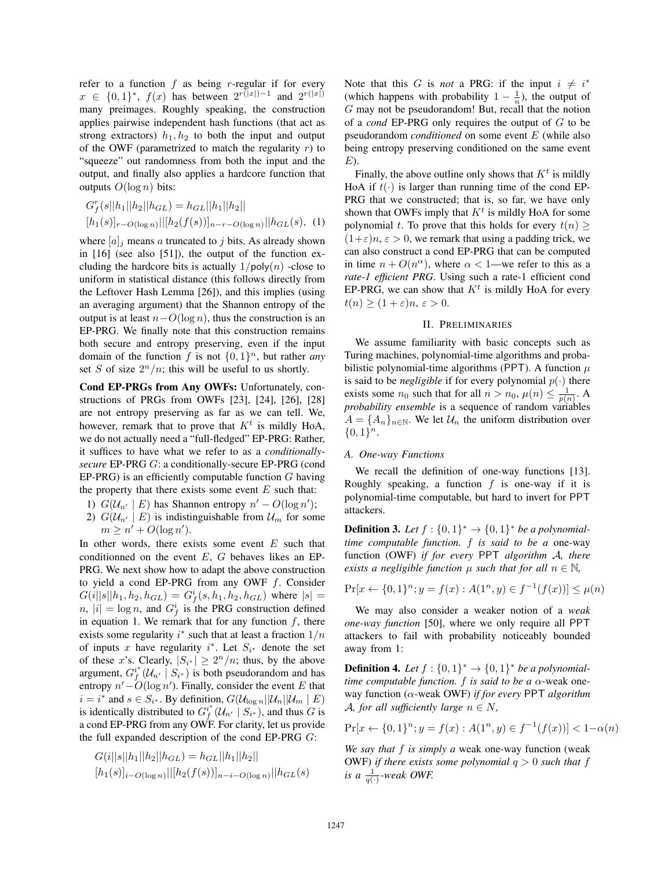refer to a function  $f$  as being r-regular if for every  $x \in \{0,1\}^*, f(x)$  has between  $2^{r(|x|)-1}$  and  $2^{r(|x|)}$ many preimages. Roughly speaking, the construction applies pairwise independent hash functions (that act as strong extractors)  $h_1, h_2$  to both the input and output of the OWF (parametrized to match the regularity  $r$ ) to "squeeze" out randomness from both the input and the output, and finally also applies a hardcore function that outputs  $O(\log n)$  bits:

$$
G_f^r(s||h_1||h_2||h_{GL}) = h_{GL}||h_1||h_2||
$$
  
[h<sub>1</sub>(s)]<sub>r-O(log n)</sub>||[h<sub>2</sub>(f(s))]<sub>n-r-O(log n)</sub>||h<sub>GL</sub>(s), (1)

where  $[a]_j$  means a truncated to j bits. As already shown in [16] (see also [51]), the output of the function excluding the hardcore bits is actually  $1/poly(n)$  -close to uniform in statistical distance (this follows directly from the Leftover Hash Lemma [26]), and this implies (using an averaging argument) that the Shannon entropy of the output is at least  $n-O(\log n)$ , thus the construction is an EP-PRG. We finally note that this construction remains both secure and entropy preserving, even if the input domain of the function f is not  $\{0, 1\}^n$ , but rather *any* set S of size  $2^n/n$ ; this will be useful to us shortly.

Cond EP-PRGs from Any OWFs: Unfortunately, constructions of PRGs from OWFs [23], [24], [26], [28] are not entropy preserving as far as we can tell. We, however, remark that to prove that  $K<sup>t</sup>$  is mildly HoA, we do not actually need a "full-fledged" EP-PRG: Rather, it suffices to have what we refer to as a *conditionallysecure* EP-PRG G: a conditionally-secure EP-PRG (cond EP-PRG) is an efficiently computable function  $G$  having the property that there exists some event  $E$  such that:

- 1)  $G(U_{n'} | E)$  has Shannon entropy  $n' O(\log n')$ ;<br>2)  $G(U_{n} | E)$  is indistinguishable from  $U_{n}$  for son
- 2)  $G(U_{n'} | E)$  is indistinguishable from  $U_m$  for some  $m > n' + O(\log n')$  $m \geq n' + O(\log n').$

In other words, there exists some event  $E$  such that conditionned on the event  $E$ ,  $G$  behaves likes an EP-PRG. We next show how to adapt the above construction to yield a cond EP-PRG from any OWF f. Consider  $G(i||s||h_1, h_2, h_{GL}) = G^i_f(s, h_1, h_2, h_{GL})$  where  $|s| =$ <br>  $g \mid s| = \log g$  and  $G^i$  is the PRG construction defined  $n, |i| = \log n$ , and  $G_f^i$  is the PRG construction defined<br>in equation 1. We remark that for any function f, there in equation 1. We remark that for any function  $f$ , there exists some regularity i<sup>\*</sup> such that at least a fraction  $1/n$ <br>of inputs x have regularity i<sup>\*</sup> Let  $S_{11}$  denote the set of inputs x have regularity  $i^*$ . Let  $S_{i^*}$  denote the set of these x's. Clearly,  $|S_{i^*}| \geq 2^n/n$ ; thus, by the above argument,  $G_f^{i*}(U_{n'} | S_{i*})$  is both pseudorandom and has entropy  $n' - O(\log n')$ . Finally, consider the event E that  $i = i^*$  and  $\varepsilon \in S_i$ . By definition  $G/(k - ||\mathcal{U}|| ||\mathcal{U}|| + E)$  $i = i^*$  and  $s \in S_{i^*}$ . By definition,  $G(\mathcal{U}_{\text{log } n} || \mathcal{U}_n || \mathcal{U}_m | E)$ <br>is identically distributed to  $G^{i^*}(\mathcal{U}_n | S_n)$  and thus G is is identically distributed to  $G_f^{i*}(U_{n'} | S_i^*),$  and thus  $G$  is<br>a cond EP-PRG from any OWE For clarity, let us provide a cond EP-PRG from any OWF. For clarity, let us provide the full expanded description of the cond EP-PRG G:

$$
G(i||s||h_1||h_2||h_{GL}) = h_{GL}||h_1||h_2||
$$
  

$$
[h_1(s)]_{i-O(\log n)}||[h_2(f(s))]_{n-i-O(\log n)}||h_{GL}(s)
$$

Note that this G is *not* a PRG: if the input  $i \neq i^*$ <br>
(which happens with probability  $1 - \frac{1}{k}$ ) the output of (which happens with probability  $1 - \frac{1}{n}$ ), the output of  $G$  may not be negational point recall that the notion G may not be pseudorandom! But, recall that the notion of a *cond* EP-PRG only requires the output of G to be pseudorandom *conditioned* on some event E (while also being entropy preserving conditioned on the same event  $E$ ).

Finally, the above outline only shows that  $K^t$  is mildly HoA if  $t(\cdot)$  is larger than running time of the cond EP-PRG that we constructed; that is, so far, we have only shown that OWFs imply that  $K<sup>t</sup>$  is mildly HoA for some polynomial t. To prove that this holds for every  $t(n)$  $(1+\varepsilon)n, \varepsilon > 0$ , we remark that using a padding trick, we can also construct a cond EP-PRG that can be computed in time  $n + O(n^{\alpha})$ , where  $\alpha < 1$ —we refer to this as a *rate-1 efficient PRG*. Using such a rate-1 efficient cond EP-PRG, we can show that  $K<sup>t</sup>$  is mildly HoA for every  $t(n) \geq (1+\varepsilon)n, \, \varepsilon > 0.$ 

## II. PRELIMINARIES

We assume familiarity with basic concepts such as Turing machines, polynomial-time algorithms and probabilistic polynomial-time algorithms (PPT). A function  $\mu$ is said to be *negligible* if for every polynomial  $p(\cdot)$  there exists some  $n_0$  such that for all  $n > n_0$ ,  $\mu(n) \leq \frac{1}{p(n)}$ . A probability ensemble is a sequence of random variables *probability ensemble* is a sequence of random variables  $A = \{A_n\}_{n \in \mathbb{N}}$ . We let  $\mathcal{U}_n$  the uniform distribution over  $\{0,1\}^n$ .

#### *A. One-way Functions*

We recall the definition of one-way functions [13]. Roughly speaking, a function  $f$  is one-way if it is polynomial-time computable, but hard to invert for PPT attackers.

**Definition 3.** Let  $f : \{0,1\}^* \rightarrow \{0,1\}^*$  be a polynomial*time computable function.* f *is said to be a* one-way function (OWF) *if for every* PPT *algorithm* A*, there exists a negligible function*  $\mu$  *such that for all*  $n \in \mathbb{N}$ *,* 

$$
\Pr[x \leftarrow \{0, 1\}^n; y = f(x) : A(1^n, y) \in f^{-1}(f(x))] \le \mu(n)
$$

We may also consider a weaker notion of a *weak one-way function* [50], where we only require all PPT attackers to fail with probability noticeably bounded away from 1:

**Definition 4.** Let  $f : \{0, 1\}^* \rightarrow \{0, 1\}^*$  be a polynomial*time computable function.* f *is said to be a* α-weak oneway function (α-weak OWF) *if for every* PPT *algorithm* A, for all sufficiently large  $n \in N$ ,

$$
\Pr[x \leftarrow \{0, 1\}^n; y = f(x) : A(1^n, y) \in f^{-1}(f(x))] < 1 - \alpha(n)
$$

*We say that* f *is simply a* weak one-way function (weak OWF) *if there exists some polynomial*  $q > 0$  *such that*  $f$ *is a*  $\frac{1}{q(\cdot)}$ *-weak OWF.*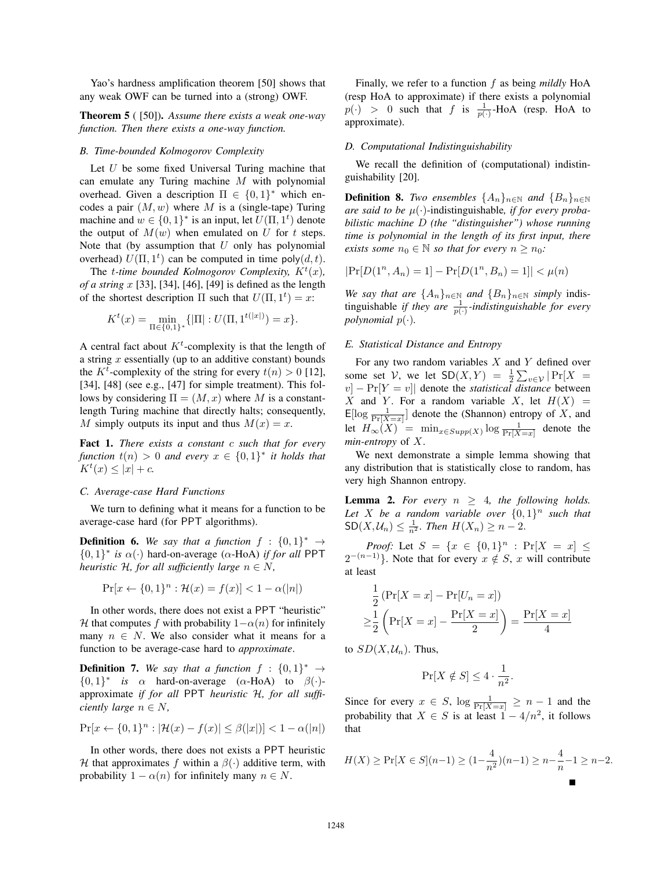Yao's hardness amplification theorem [50] shows that any weak OWF can be turned into a (strong) OWF.

Theorem 5 ( [50]). *Assume there exists a weak one-way function. Then there exists a one-way function.*

# *B. Time-bounded Kolmogorov Complexity*

Let  $U$  be some fixed Universal Turing machine that can emulate any Turing machine M with polynomial overhead. Given a description  $\Pi \in \{0,1\}^*$  which encodes a pair  $(M, w)$  where M is a (single-tape) Turing machine and  $w \in \{0,1\}^*$  is an input, let  $U(\Pi, 1^t)$  denote<br>the output of  $M(w)$  when emulated on U for t steps the output of  $M(w)$  when emulated on U for t steps. Note that (by assumption that  $U$  only has polynomial overhead)  $U(\Pi, 1^t)$  can be computed in time poly $(d, t)$ .<br>The *t-time bounded Kolmogorov Complexity*  $K^t(x)$ 

The *t-time bounded Kolmogorov Complexity,*  $K^t(x)$ ,<br>*a string x* [33], [34], [46], [49] is defined as the length *of a string* x [33], [34], [46], [49] is defined as the length of the shortest description  $\Pi$  such that  $U(\Pi, 1^t) = x$ :

$$
K^{t}(x) = \min_{\Pi \in \{0,1\}^{*}} \{ |\Pi| : U(\Pi, 1^{t(|x|)}) = x \}.
$$

A central fact about  $K<sup>t</sup>$ -complexity is that the length of a string  $x$  essentially (up to an additive constant) bounds the  $K^t$ -complexity of the string for every  $t(n) > 0$  [12],<br>[34] [48] (see e.g. [47] for simple treatment). This fol-[34], [48] (see e.g., [47] for simple treatment). This follows by considering  $\Pi=(M,x)$  where M is a constantlength Turing machine that directly halts; consequently, M simply outputs its input and thus  $M(x) = x$ .

Fact 1. *There exists a constant* c *such that for every function*  $t(n) > 0$  *and every*  $x \in \{0,1\}^*$  *it holds that*  $K^t(x) \leq |x| + c.$ 

#### *C. Average-case Hard Functions*

We turn to defining what it means for a function to be average-case hard (for PPT algorithms).

**Definition 6.** We say that a function  $f : \{0,1\}^* \rightarrow$ {0, 1}<sup>∗</sup> *is* <sup>α</sup>(·) hard-on-average (α-HoA) *if for all* PPT *heuristic*  $H$ *, for all sufficiently large*  $n \in N$ *,* 

$$
\Pr[x \leftarrow \{0, 1\}^n : \mathcal{H}(x) = f(x)] < 1 - \alpha(|n|)
$$

In other words, there does not exist a PPT "heuristic" H that computes f with probability  $1-\alpha(n)$  for infinitely many  $n \in N$ . We also consider what it means for a function to be average-case hard to *approximate*.

**Definition 7.** *We say that a function*  $f : \{0,1\}^* \rightarrow$  $\{0,1\}^*$  *is*  $\alpha$  hard-on-average ( $\alpha$ -HoA) to  $\beta(\cdot)$ approximate *if for all* PPT *heuristic* H*, for all sufficiently large*  $n \in N$ ,

$$
\Pr[x \leftarrow \{0, 1\}^n : |\mathcal{H}(x) - f(x)| \le \beta(|x|)| < 1 - \alpha(|n|)
$$

In other words, there does not exists a PPT heuristic H that approximates f within a  $\beta(\cdot)$  additive term, with probability  $1 - \alpha(n)$  for infinitely many  $n \in N$ .

Finally, we refer to a function f as being *mildly* HoA (resp HoA to approximate) if there exists a polynomial  $p(\cdot) > 0$  such that f is  $\frac{1}{p(\cdot)}$ -HoA (resp. HoA to approximate).

### *D. Computational Indistinguishability*

We recall the definition of (computational) indistinguishability [20].

**Definition 8.** *Two ensembles*  $\{A_n\}_{n\in\mathbb{N}}$  *and*  $\{B_n\}_{n\in\mathbb{N}}$ *are said to be* <sup>μ</sup>(·)-indistinguishable*, if for every probabilistic machine* D *(the "distinguisher") whose running time is polynomial in the length of its first input, there exists some*  $n_0 \in \mathbb{N}$  *so that for every*  $n \geq n_0$ *:* 

$$
|\Pr[D(1^n, A_n) = 1] - \Pr[D(1^n, B_n) = 1]| < \mu(n)
$$

*We say that are*  $\{A_n\}_{n\in\mathbb{N}}$  *and*  $\{B_n\}_{n\in\mathbb{N}}$  *simply* indistinguishable *if they are*  $\frac{1}{p(\cdot)}$ *-indistinguishable for every*<br>polynomial  $p(\cdot)$ *polynomial* <sup>p</sup>(·)*.*

## *E. Statistical Distance and Entropy*

For any two random variables  $X$  and  $Y$  defined over some set V, we let  $SD(X, Y) = \frac{1}{2} \sum_{v \in Y} Pr[X = v] - Pr[Y = v]$  denote the statistical distance between v] –  $Pr[Y = v]$  denote the *statistical distance* between  $X$  and  $Y$  for a random variable  $X$  let  $H(X)$  – X and Y. For a random variable X, let  $H(X) =$  $E[\log \frac{1}{\Pr[X=x]}]$  denote the (Shannon) entropy of X, and let  $H_{\infty}(X) = \min_{x \in Supp(X)} \log \frac{1}{\Pr[X=x]}$  denote the min-entropy of X *min-entropy* of X.

We next demonstrate a simple lemma showing that any distribution that is statistically close to random, has very high Shannon entropy.

**Lemma 2.** For every  $n \geq 4$ , the following holds. Let X be a random variable over  $\{0,1\}^n$  such that  $SD(X, \mathcal{U}_n) \leq \frac{1}{n^2}$ . Then  $H(X_n) \geq n-2$ .

*Proof:* Let  $S = \{x \in \{0,1\}^n : \Pr[X = x] \leq -1\}$  Note that for every  $x \notin S$  x will contribute  $2^{-(n-1)}$ . Note that for every  $x \notin S$ , x will contribute at least

$$
\frac{1}{2} \left( \Pr[X=x] - \Pr[U_n = x] \right)
$$

$$
\geq \frac{1}{2} \left( \Pr[X=x] - \frac{\Pr[X=x]}{2} \right) = \frac{\Pr[X=x]}{4}
$$

to  $SD(X, \mathcal{U}_n)$ . Thus,

$$
\Pr[X \notin S] \le 4 \cdot \frac{1}{n^2}.
$$

Since for every  $x \in S$ ,  $\log \frac{1}{\Pr[X=x]} \ge n-1$  and the probability that  $Y \subset S$  is at logar  $1 - 4/n^2$  it follows probability that  $X \in S$  is at least  $1 - 4/n^2$ , it follows that

$$
H(X) \ge \Pr[X \in S](n-1) \ge (1 - \frac{4}{n^2})(n-1) \ge n - \frac{4}{n} - 1 \ge n - 2.
$$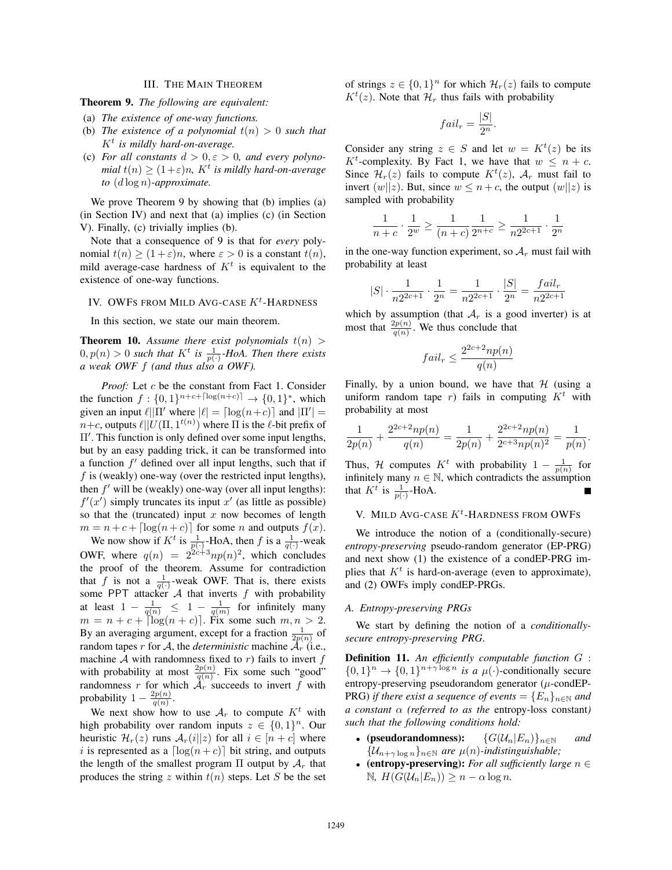## III. THE MAIN THEOREM

Theorem 9. *The following are equivalent:*

- (a) *The existence of one-way functions.*
- (b) *The existence of a polynomial*  $t(n) > 0$  *such that*  $K^t$  *is mildly hard-on-average.*
- (c) *For all constants*  $d > 0, \varepsilon > 0$ *, and every polynomial*  $t(n) \geq (1+\varepsilon)n$ *, K<sup>t</sup> is mildly hard-on-average to* (<sup>d</sup> log <sup>n</sup>)*-approximate.*

We prove Theorem 9 by showing that (b) implies (a) (in Section IV) and next that (a) implies (c) (in Section V). Finally, (c) trivially implies (b).

Note that a consequence of 9 is that for *every* polynomial  $t(n) \ge (1+\varepsilon)n$ , where  $\varepsilon > 0$  is a constant  $t(n)$ , mild average-case hardness of  $K<sup>t</sup>$  is equivalent to the existence of one-way functions.

# IV. OWFS FROM MILD AVG-CASE  $K<sup>t</sup>$ -HARDNESS

In this section, we state our main theorem.

**Theorem 10.** *Assume there exist polynomials*  $t(n) > 0$  *n(n)*  $> 0$  *such that*  $K<sup>t</sup>$  *is*  $\frac{1}{2}$ *-HoA Then there exists*  $0, p(n) > 0$  *such that*  $K^t$  *is*  $\frac{1}{p(\cdot)}$ *-HoA. Then there exists a weak OWF f (and thus also a OWF).* 

*Proof:* Let c be the constant from Fact 1. Consider the function  $f: \{0,1\}^{n+c+\lceil \log(n+c) \rceil} \to \{0,1\}^*$ , which given an input  $\ell || \Pi'$  where  $|\ell| = \lceil \log(n+c) \rceil$  and  $|\Pi'| =$ <br> $n+c$  outputs  $\ell || U/( \Pi | 1^{t(n)})$  where  $\Pi$  is the  $\ell$ -bit prefix of  $n+c$ , outputs  $\ell$ || $U(\Pi, 1^{t(n)})$  where  $\Pi$  is the  $\ell$ -bit prefix of  $\Pi'$ . This function is only defined over some input lengths,<br>but by an easy padding trick, it can be transformed into but by an easy padding trick, it can be transformed into a function  $f'$  defined over all input lengths, such that if  $f$  is (weakly) one-way (over the restricted input lengths), then  $f'$  will be (weakly) one-way (over all input lengths):  $f'(x')$  simply truncates its input x' (as little as possible)<br>so that the (truncated) input x now becomes of length so that the (truncated) input  $x$  now becomes of length  $m = n + c + \left[ \log(n + c) \right]$  for some *n* and outputs  $f(x)$ .<br>We now show if  $K^t$  is  $\frac{1}{2}$ , HoA, then f is a  $\frac{1}{2}$ , weak We now show if  $K^t$  is  $\frac{1}{p(\cdot)}$ -HoA, then f is a  $\frac{1}{q(\cdot)}$ -weak OWF, where  $q(n)=2^{2c+3}np(n)^2$ , which concludes the proof of the theorem. Assume for contradiction that f is not a  $\frac{1}{q(\cdot)}$ -weak OWF. That is, there exists<br>some PPT attacker 4 that inverts f with probability some PPT attacker  $A$  that inverts  $f$  with probability at least  $1 - \frac{1}{q(n)} \leq 1 - \frac{1}{q(m)}$  for infinitely many  $m = n + c + \log(n + c)$ . Fix some such  $m, n > 2$ .<br>By an averaging argument, except for a fraction  $\frac{1}{2p(n)}$  of random tanes r for A the *deterministic* machine A (i.e. random tapes r for A, the *deterministic* machine  $\mathcal{A}_r$  (i.e., machine  $A$  with randomness fixed to  $r$ ) fails to invert  $f$ with probability at most  $\frac{2p(n)}{q(n)}$ . Fix some such "good" randomness r for which  $A_r$  succeeds to invert f with

probability  $1 - \frac{2p(n)}{q(n)}$ .<br>We next show how We next show how to use  $A_r$  to compute  $K^t$  with high probability over random inputs  $z \in \{0,1\}^n$ . Our heuristic  $\mathcal{H}_r(z)$  runs  $\mathcal{A}_r(i||z)$  for all  $i \in [n+c]$  where i is represented as a  $\lceil \log(n + c) \rceil$  bit string, and outputs<br>the length of the smallest program  $\Pi$  output by A, that the length of the smallest program  $\Pi$  output by  $A_r$  that produces the string z within  $t(n)$  steps. Let S be the set of strings  $z \in \{0,1\}^n$  for which  $\mathcal{H}_r(z)$  fails to compute  $K^t(z)$ . Note that  $\mathcal{H}_r$  thus fails with probability

$$
fail_r = \frac{|S|}{2^n}.
$$

Consider any string  $z \in S$  and let  $w = K^t(z)$  be its  $K^t$ -complexity. By Eact 1, we have that  $w \leq n + c$  $K^t$ -complexity. By Fact 1, we have that  $w \leq n + c$ .<br>Since  $\mathcal{H}(z)$  fails to compute  $K^t(z)$  A must fail to Since  $\mathcal{H}_r(z)$  fails to compute  $K^t(z)$ ,  $\mathcal{A}_r$  must fail to invert  $(w||z)$ . But since  $w \leq n + c$ , the output  $(w||z)$  is invert  $(w||z)$ . But, since  $w \leq n + c$ , the output  $(w||z)$  is sampled with probability

$$
\frac{1}{n+c} \cdot \frac{1}{2^w} \ge \frac{1}{(n+c)} \frac{1}{2^{n+c}} \ge \frac{1}{n2^{2c+1}} \cdot \frac{1}{2^n}
$$

in the one-way function experiment, so  $A_r$  must fail with probability at least

$$
|S| \cdot \frac{1}{n2^{2c+1}} \cdot \frac{1}{2^n} = \frac{1}{n2^{2c+1}} \cdot \frac{|S|}{2^n} = \frac{fail_r}{n2^{2c+1}}
$$

which by assumption (that  $A_r$  is a good inverter) is at most that  $\frac{2p(n)}{q(n)}$ . We thus conclude that

$$
fail_r \le \frac{2^{2c+2}np(n)}{q(n)}
$$

Finally, by a union bound, we have that  $H$  (using a uniform random tape r) fails in computing  $K<sup>t</sup>$  with probability at most

$$
\frac{1}{2p(n)} + \frac{2^{2c+2}np(n)}{q(n)} = \frac{1}{2p(n)} + \frac{2^{2c+2}np(n)}{2^{c+3}np(n)^2} = \frac{1}{p(n)}.
$$

Thus, H computes  $K^t$  with probability  $1 - \frac{1}{p(n)}$  for infinitely many  $n \in \mathbb{N}$ , which contradicts the assumption that  $K^t$  is  $\frac{1}{p(\cdot)}$ -HoA. Г

# V. MILD AVG-CASE  $K^t$ -HARDNESS FROM OWFS

We introduce the notion of a (conditionally-secure) *entropy-preserving* pseudo-random generator (EP-PRG) and next show (1) the existence of a condEP-PRG implies that  $K^t$  is hard-on-average (even to approximate), and (2) OWFs imply condEP-PRGs.

#### *A. Entropy-preserving PRGs*

We start by defining the notion of a *conditionallysecure entropy-preserving PRG*.

Definition 11. *An efficiently computable function* <sup>G</sup> :  $\{0,1\}^n \rightarrow \{0,1\}^{n+\gamma \log n}$  *is a*  $\mu(\cdot)$ -conditionally secure entropy-preserving pseudorandom generator  $(\mu$ -condEP-PRG) *if there exist a sequence of events* =  ${E_n}_{n \in \mathbb{N}}$  *and a constant* α *(referred to as the* entropy-loss constant*) such that the following conditions hold:*

- (pseudorandomness):  $\{G(\mathcal{U}_n|E_n)\}_{n\in\mathbb{N}}$  *and*  $\{U_{n-1},\ldots\}_{n\in\mathbb{N}}$  *are u(n)-indistinguishable*:  ${U_{n+\gamma}}$ <sub>log n</sub>}<sub>n∈N</sub> are  $\mu(n)$ -indistinguishable;<br>(entropy-preserving): For all sufficiently larger
- (entropy-preserving): *For all sufficiently large* n ∈  $\mathbb{N}, H(G(\mathcal{U}_n | E_n)) \geq n - \alpha \log n.$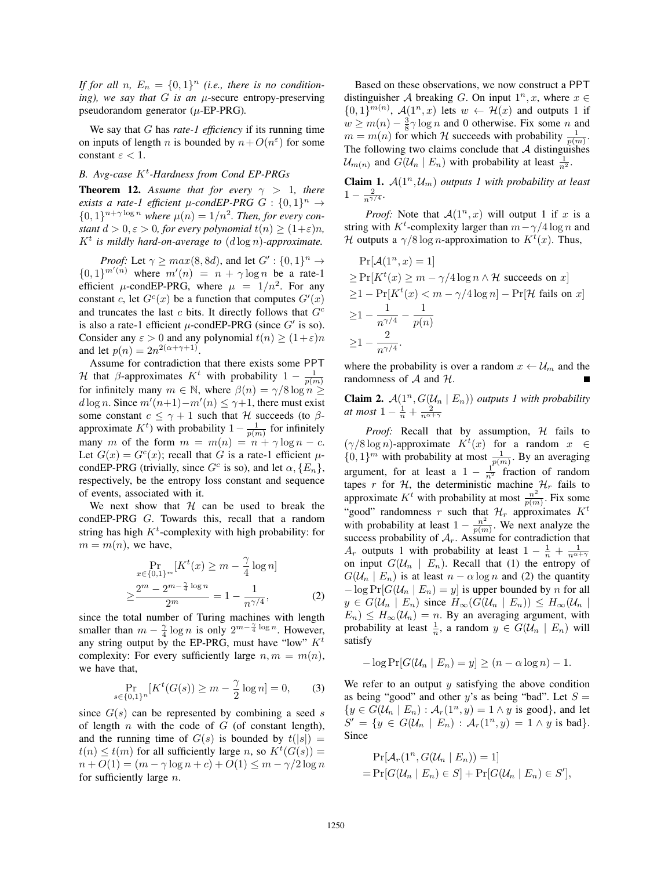*If for all n,*  $E_n = \{0,1\}^n$  *(i.e., there is no conditioning), we say that* G *is an* μ-secure entropy-preserving pseudorandom generator (μ-EP-PRG)*.*

We say that G has *rate-1 efficiency* if its running time on inputs of length n is bounded by  $n+O(n^{\epsilon})$  for some constant  $\varepsilon$  < 1.

# *B. Avg-case* K<sup>t</sup> *-Hardness from Cond EP-PRGs*

**Theorem 12.** Assume that for every  $\gamma > 1$ , there *exists a rate-1 efficient*  $\mu$ -condEP-PRG  $G : \{0,1\}^n \rightarrow$  $\{0,1\}^{n+\gamma \log n}$  where  $\mu(n) = 1/n^2$ . Then, for every con*stant*  $d > 0, \varepsilon > 0$ *, for every polynomial*  $t(n) > (1+\varepsilon)n$ *,*  $K^t$  *is mildly hard-on-average to*  $(d \log n)$ *-approximate.* 

*Proof:* Let  $\gamma \geq max(8, 8d)$ , and let  $G' : \{0, 1\}^n \to \mathbb{R}^{n'}(n)$  where  $m'(n) = n + \gamma \log n$  be a rate-1  $\{0,1\}^{m'(n)}$  where  $m'(n) = n + \gamma \log n$  be a rate-1<br>efficient u-condEP-PRG where  $n = 1/n^2$  For any efficient  $\mu$ -condEP-PRG, where  $\mu = 1/n^2$ . For any constant c, let  $G<sup>c</sup>(x)$  be a function that computes  $G'(x)$ <br>and truncates the last c bits. It directly follows that  $G<sup>c</sup>$ and truncates the last  $c$  bits. It directly follows that  $G<sup>c</sup>$ is also a rate-1 efficient  $\mu$ -condEP-PRG (since  $G'$  is so). Consider any  $\varepsilon > 0$  and any polynomial  $t(n) \ge (1+\varepsilon)n$ and let  $p(n)=2n^{2(\alpha+\gamma+1)}$ .

Assume for contradiction that there exists some PPT H that β-approximates  $K^t$  with probability  $1 - \frac{1}{p(m)}$ for infinitely many  $m \in \mathbb{N}$ , where  $\beta(n) = \gamma/8 \log n \ge$ <br>dlog n. Since  $m'(n+1) - m'(n) \le \gamma+1$  there must exist d log n. Since  $m'(n+1)-m'(n) \leq \gamma+1$ , there must exist<br>some constant  $c \leq \gamma+1$  such that  $\mathcal H$  succeeds (to  $\beta$ some constant  $c \leq \gamma + 1$  such that H succeeds (to  $\beta$ approximate  $K^t$ ) with probability  $1 - \frac{1}{p(m)}$  for infinitely<br>many m of the form  $m = m(n) - \frac{1}{p(m)}$  or  $n = 0$ many m of the form  $m = m(n) = n + \gamma \log n - c$ . Let  $G(x) = G<sup>c</sup>(x)$ ; recall that G is a rate-1 efficient  $\mu$ condEP-PRG (trivially, since  $G^c$  is so), and let  $\alpha$ ,  $\{E_n\}$ , respectively, be the entropy loss constant and sequence of events, associated with it.

We next show that  $H$  can be used to break the condEP-PRG G. Towards this, recall that a random string has high  $K<sup>t</sup>$ -complexity with high probability: for  $m = m(n)$ , we have,

$$
\Pr_{x \in \{0,1\}^m} [K^t(x) \ge m - \frac{\gamma}{4} \log n]
$$
  
 
$$
\ge \frac{2^m - 2^{m - \frac{\gamma}{4} \log n}}{2^m} = 1 - \frac{1}{n^{\gamma/4}},
$$
 (2)

 $\geq \frac{2m}{2m} = 1 - \frac{1}{n^{\gamma/4}}$ , (2)<br>since the total number of Turing machines with length smaller than  $m - \frac{\gamma}{4} \log n$  is only  $2^{m - \frac{\gamma}{4} \log n}$ . However, any string output by the FP-PRG must have "low"  $K^t$ any string output by the EP-PRG, must have "low"  $K<sup>t</sup>$ complexity: For every sufficiently large  $n, m = m(n)$ , we have that,

$$
\Pr_{s \in \{0,1\}^n} [K^t(G(s)) \ge m - \frac{\gamma}{2} \log n] = 0,
$$
 (3)

since  $G(s)$  can be represented by combining a seed s of length  $n$  with the code of  $G$  (of constant length), and the running time of  $G(s)$  is bounded by  $t(|s|) =$  $t(n) \le t(m)$  for all sufficiently large n, so  $K^t(G(s)) =$ <br> $t(n) + O(1) - (m - \gamma \log n + \epsilon) + O(1) \le m - \gamma/2 \log n$  $n + O(1) = (m - \gamma \log n + c) + O(1) \leq m - \gamma/2 \log n$ for sufficiently large  $n$ .

Based on these observations, we now construct a PPT distinguisher A breaking G. On input  $1^n, x$ , where  $x \in$  $\{0,1\}^{m(n)}$ ,  $\mathcal{A}(1^n, x)$  lets  $w \leftarrow \mathcal{H}(x)$  and outputs 1 if  $w \ge m(n) - \frac{3}{8}\gamma \log n$  and 0 otherwise. Fix some n and  $m = m(n)$  for which  $H$  succeeds with probability  $\frac{1}{\gamma}$  $m = m(n)$  for which H succeeds with probability  $\frac{1}{p(m)}$ .<br>The following two claims conclude that A distinguishes The following two claims conclude that  $A$  distinguishes  $\mathcal{U}_{m(n)}$  and  $G(\mathcal{U}_n | E_n)$  with probability at least  $\frac{1}{n^2}$ .

**Claim 1.**  $A(1^n, \mathcal{U}_m)$  *outputs 1 with probability at least*  $1 - \frac{2}{n^{\gamma/4}}$ .

*Proof:* Note that  $A(1^n, x)$  will output 1 if x is a string with  $K^t$ -complexity larger than  $m - \gamma/4 \log n$  and  $\mathcal{H}$  outputs a  $\gamma/8 \log n$ -approximation to  $K^t(x)$ . Thus *H* outputs a  $\gamma/8 \log n$ -approximation to  $K^{t}(x)$ . Thus,

$$
\Pr[\mathcal{A}(1^n, x) = 1]
$$
  
\n
$$
\geq \Pr[K^t(x) \geq m - \gamma/4 \log n \wedge \mathcal{H} \text{ succeeds on } x]
$$
  
\n
$$
\geq 1 - \Pr[K^t(x) < m - \gamma/4 \log n] - \Pr[\mathcal{H} \text{ fails on } x]
$$
  
\n
$$
\geq 1 - \frac{1}{n^{\gamma/4}} - \frac{1}{p(n)}
$$
  
\n
$$
\geq 1 - \frac{2}{n^{\gamma/4}}.
$$

where the probability is over a random  $x \leftarrow \mathcal{U}_m$  and the randomness of  $A$  and  $H$ .

**Claim 2.**  $A(1^n, G(\mathcal{U}_n | E_n))$  *outputs 1 with probability at most*  $1 - \frac{1}{n} + \frac{2}{n^{\alpha + \gamma}}$ 

Proof: Recall that by assumption, H fails to  $(\gamma/8 \log n)$ -approximate  $K^t(x)$  for a random  $x \in$ <br> $(0, 1\}^m$  with probability at most  $\frac{1}{\gamma}$ . By an averaging  $\{0, 1\}^m$  with probability at most  $\frac{1}{p(m)}$ . By an averaging argument, for at least a  $1 - \frac{1}{n^2}$  fraction of random<br>tapes x for H the deterministic machine H fails to tapes r for H, the deterministic machine  $\mathcal{H}_r$  fails to approximate  $K^t$  with probability at most  $\frac{n^2}{p(m)}$ . Fix some "good" randomness  $n$  such that  $\mathcal{U}$  approximates  $K^t$ "good" randomness r such that  $\mathcal{H}_r$  approximates  $K^t$ with probability at least  $1 - \frac{n^2}{p(m)}$ . We next analyze the success probability of  $A_r$ . Assume for contradiction that  $A_r$  outputs 1 with probability at least  $1 - \frac{1}{n} + \frac{1}{n^{\alpha+\gamma}}$ on input  $G(\mathcal{U}_n \mid E_n)$ . Recall that (1) the entropy of  $G(\mathcal{U}_n | E_n)$  is at least  $n - \alpha \log n$  and (2) the quantity  $-\log \Pr[G(\mathcal{U}_n | E_n) = y]$  is upper bounded by *n* for all  $y \in G(\mathcal{U}_n \mid E_n)$  since  $H_{\infty}(G(\mathcal{U}_n \mid E_n)) \leq H_{\infty}(\mathcal{U}_n \mid E_n)$  $E_n$ )  $\leq H_{\infty}(\mathcal{U}_n) = n$ . By an averaging argument, with probability at least  $\frac{1}{n}$ , a random  $y \in G(\mathcal{U}_n \mid E_n)$  will satisfy

$$
-\log \Pr[G(\mathcal{U}_n \mid E_n) = y] \ge (n - \alpha \log n) - 1.
$$

We refer to an output  $y$  satisfying the above condition as being "good" and other y's as being "bad". Let  $S =$  ${y \in G(U_n \mid E_n) : \mathcal{A}_r(1^n, y) = 1 \land y \text{ is good}}$ , and let  $S' = \{y \in G(\mathcal{U}_n \mid E_n) : \mathcal{A}_r(1^n, y) = 1 \land y \text{ is bad}\}.$ Since

$$
\Pr[\mathcal{A}_r(1^n, G(\mathcal{U}_n \mid E_n)) = 1]
$$
  
= 
$$
\Pr[G(\mathcal{U}_n \mid E_n) \in S] + \Pr[G(\mathcal{U}_n \mid E_n) \in S'],
$$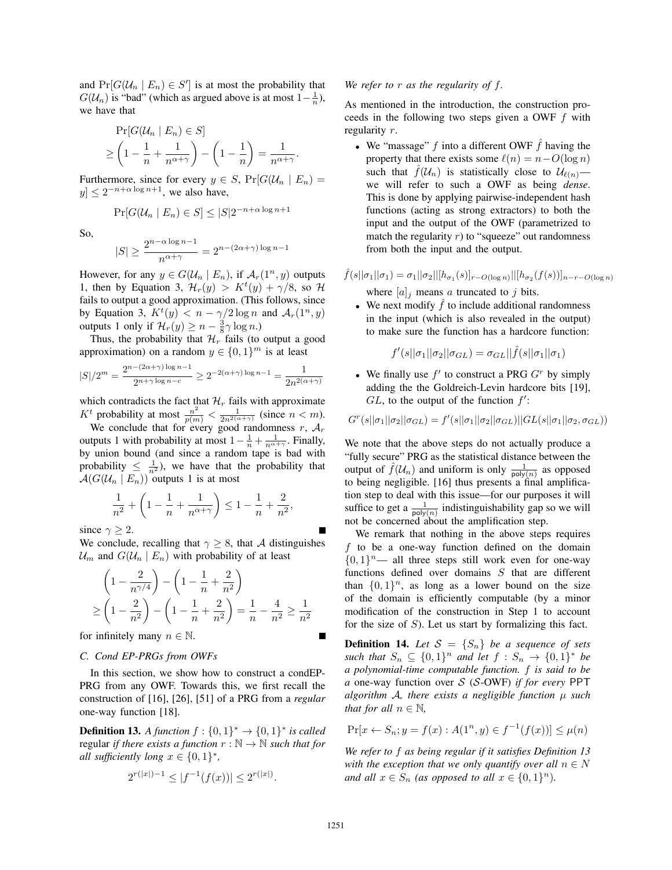and  $Pr[G(\mathcal{U}_n | E_n) \in S']$  is at most the probability that  $G(\mathcal{U}_n)$  is "bad" (which as argued above is at most  $1-\frac{1}{n}$ )  $G(\mathcal{U}_n)$  is "bad" (which as argued above is at most  $1-\frac{1}{n}$ ), we have that

$$
\Pr[G(\mathcal{U}_n \mid E_n) \in S] \ge \left(1 - \frac{1}{n} + \frac{1}{n^{\alpha + \gamma}}\right) - \left(1 - \frac{1}{n}\right) = \frac{1}{n^{\alpha + \gamma}}.
$$

Furthermore, since for every  $y \in S$ ,  $Pr[G(\mathcal{U}_n | E_n)] =$  $|y| \leq 2^{-n+\alpha \log n+1}$ , we also have,

 $Pr[G(\mathcal{U}_n | E_n) \in S] \leq |S|2^{-n+\alpha \log n + 1}$ 

So,

$$
|S| \ge \frac{2^{n-\alpha \log n - 1}}{n^{\alpha + \gamma}} = 2^{n - (2\alpha + \gamma) \log n - 1}
$$

However, for any  $y \in G(\mathcal{U}_n \mid E_n)$ , if  $\mathcal{A}_r(1^n, y)$  outputs 1, then by Equation 3,  $\mathcal{H}_r(y) > K^t(y) + \gamma/8$ , so  $\mathcal{H}_r$  fails to output a good approximation. (This follows since fails to output a good approximation. (This follows, since by Equation 3,  $K^t(y) < n - \gamma/2 \log n$  and  $\mathcal{A}_r(1^n, y)$ <br>outputs 1 only if  $\mathcal{H}(y) > n - \frac{3}{2} \gamma \log n$ . outputs 1 only if  $\mathcal{H}_r(y) \geq n - \frac{3}{8}\gamma \log n$ .<br>Thus the probability that  $\mathcal{H}_r$  fails (to

Thus, the probability that  $\mathcal{H}_r$  fails (to output a good approximation) on a random  $y \in \{0, 1\}^m$  is at least

$$
|S|/2^m = \frac{2^{n-(2\alpha+\gamma)\log n - 1}}{2^{n+\gamma\log n - c}} \ge 2^{-2(\alpha+\gamma)\log n - 1} = \frac{1}{2n^{2(\alpha+\gamma)}}
$$

which contradicts the fact that  $\mathcal{H}_r$  fails with approximate

*K<sup>t</sup>* probability at most  $\frac{n^2}{p(m)} < \frac{1}{2n^{2(\alpha+\gamma)}}$  (since  $n < m$ ).<br>We conclude that for every good randomness *r*,  $A_r$ outputs 1 with probability at most  $1 - \frac{1}{n} + \frac{1}{n^{\alpha+\gamma}}$ . Finally, by union bound (and since a random tape is bad with probability  $\leq \frac{1}{n^2}$ , we have that the probability that  $\mathcal{A}(G(\mathcal{U}_n \mid E_n))$  outputs 1 is at most

$$
\frac{1}{n^2} + \left(1 - \frac{1}{n} + \frac{1}{n^{\alpha + \gamma}}\right) \le 1 - \frac{1}{n} + \frac{2}{n^2},
$$

since  $\gamma > 2$ .

We conclude, recalling that  $\gamma \geq 8$ , that A distinguishes  $\mathcal{U}_m$  and  $G(\mathcal{U}_n | E_n)$  with probability of at least

$$
\left(1 - \frac{2}{n^{\gamma/4}}\right) - \left(1 - \frac{1}{n} + \frac{2}{n^2}\right)
$$
  
\n
$$
\ge \left(1 - \frac{2}{n^2}\right) - \left(1 - \frac{1}{n} + \frac{2}{n^2}\right) = \frac{1}{n} - \frac{4}{n^2} \ge \frac{1}{n^2}
$$

for infinitely many  $n \in \mathbb{N}$ .

#### *C. Cond EP-PRGs from OWFs*

In this section, we show how to construct a condEP-PRG from any OWF. Towards this, we first recall the construction of [16], [26], [51] of a PRG from a *regular* one-way function [18].

**Definition 13.** *A function*  $f : \{0, 1\}^* \rightarrow \{0, 1\}^*$  *is called* regular *if there exists a function*  $r : \mathbb{N} \to \mathbb{N}$  *such that for all sufficiently long*  $x \in \{0, 1\}^*$ ,

$$
2^{r(|x|)-1} \le |f^{-1}(f(x))| \le 2^{r(|x|)}.
$$

## *We refer to* r *as the regularity of* f*.*

As mentioned in the introduction, the construction proceeds in the following two steps given a OWF  $f$  with regularity r.

• We "massage" f into a different OWF  $\hat{f}$  having the property that there exists some  $\ell(n) = n - O(\log n)$ such that  $\hat{f}(\mathcal{U}_n)$  is statistically close to  $\mathcal{U}_{\ell(n)}$  we will refer to such a OWF as being *dense*. This is done by applying pairwise-independent hash functions (acting as strong extractors) to both the input and the output of the OWF (parametrized to match the regularity  $r$ ) to "squeeze" out randomness from both the input and the output.

$$
\hat{f}(s||\sigma_1||\sigma_1) = \sigma_1||\sigma_2||[h_{\sigma_1}(s)]_{r-O(\log n)}||[h_{\sigma_2}(f(s))]_{n-r-O(\log n)}
$$
  
where  $[a]_j$  means a truncated to j bits.  
. We next modify  $\hat{f}$  to include additional randomness

• We next modify  $\hat{f}$  to include additional randomness in the input (which is also revealed in the output) to make sure the function has a hardcore function:

 $f'(s||\sigma_1||\sigma_2||\sigma_{GL}) = \sigma_{GL}||\hat{f}(s||\sigma_1||\sigma_1)$ 

• We finally use  $f'$  to construct a PRG  $G<sup>r</sup>$  by simply adding the the Goldreich-Levin hardcore bits [19],  $GL$ , to the output of the function  $f'$ :

$$
G^{r}(s||\sigma_1||\sigma_2||\sigma_{GL}) = f'(s||\sigma_1||\sigma_2||\sigma_{GL})||GL(s||\sigma_1||\sigma_2, \sigma_{GL}))
$$

We note that the above steps do not actually produce a "fully secure" PRG as the statistical distance between the output of  $\hat{f}(\mathcal{U}_n)$  and uniform is only  $\frac{1}{\text{poly}(n)}$  as opposed to being negligible [16] thus presents a final amplificato being negligible. [16] thus presents a final amplification step to deal with this issue—for our purposes it will suffice to get a  $\frac{1}{\text{poly}(n)}$  indistinguishability gap so we will not be concerned about the amplification step.

We remark that nothing in the above steps requires f to be a one-way function defined on the domain  $\{0, 1\}^n$ — all three steps still work even for one-way functions defined over domains  $S$  that are different than  $\{0, 1\}^n$ , as long as a lower bound on the size of the domain is efficiently computable (by a minor modification of the construction in Step 1 to account for the size of  $S$ ). Let us start by formalizing this fact.

**Definition 14.** Let  $S = \{S_n\}$  be a sequence of sets *such that*  $S_n$  ⊆  $\{0,1\}^n$  *and let*  $f : S_n$  →  $\{0,1\}^*$  *be a polynomial-time computable function.* f *is said to be a* one-way function over S (S-OWF) *if for every* PPT *algorithm* A*, there exists a negligible function* μ *such that for all*  $n \in \mathbb{N}$ *,* 

$$
\Pr[x \leftarrow S_n; y = f(x) : A(1^n, y) \in f^{-1}(f(x))] \le \mu(n)
$$

*We refer to* f *as being regular if it satisfies Definition 13 with the exception that we only quantify over all*  $n \in N$ *and all*  $x \in S_n$  *(as opposed to all*  $x \in \{0,1\}^n$ *).*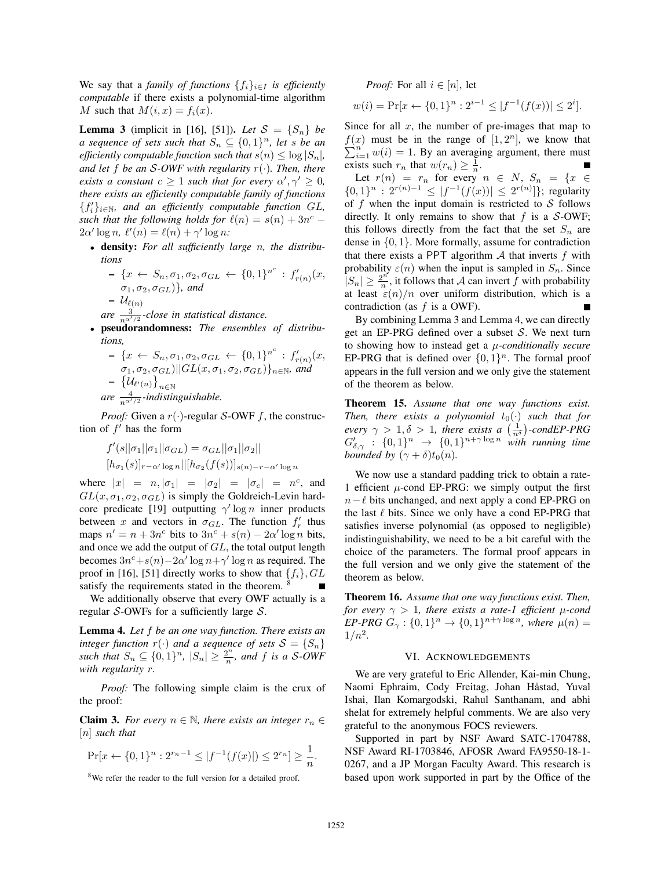We say that a *family of functions*  $\{f_i\}_{i\in I}$  *is efficiently computable* if there exists a polynomial-time algorithm M such that  $M(i, x) = f_i(x)$ .

**Lemma 3** (implicit in [16], [51]). Let  $S = \{S_n\}$  be *a sequence of sets such that*  $S_n \subseteq \{0,1\}^n$ *, let s be an efficiently computable function such that*  $s(n) \leq \log |S_n|$ , *and let* f *be an* S-OWF with regularity  $r(\cdot)$ *. Then, there exists a constant*  $c \geq 1$  *such that for every*  $\alpha', \gamma' \geq 0$ , there exists an efficiently computable family of functions *there exists an efficiently computable family of functions*  ${f'_i}_{i \in \mathbb{N}}$ , and an efficiently computable function GL, *such that the following holds for*  $\ell(n) = s(n) + 3n^c$  −  $2\alpha' \log n$ ,  $\ell'(n) = \ell(n) + \gamma' \log n$ :<br>
density, For all sufficiently

• density: *For all sufficiently large* n*, the distributions*

$$
- \{x \leftarrow S_n, \sigma_1, \sigma_2, \sigma_{GL} \leftarrow \{0,1\}^{n^c} : f'_{r(n)}(x, \sigma_1, \sigma_2, \sigma_{GL})\}, \text{ and}
$$
  
\n
$$
- \mathcal{U}_{\ell(n)}
$$
  
\nare  $\frac{3}{n^{\alpha'/2}}$ -close in statistical distance.

- pseudorandomness: *The ensembles of distributions,*
	- $\{x \leftarrow S_n, \sigma_1, \sigma_2, \sigma_{GL} \leftarrow \{0, 1\}^{n^c} : f'_{r(n)}(x, \sigma_1, \sigma_2, \sigma_{GL})\}_{n \in \mathbb{N}}$ , and<br>  $\{f_{\mathcal{U}_{\alpha} \cup \alpha}\}$  $- \left\{\mathcal{U}_{\ell'(n)}\right\}_{n \in \mathbb{N}}$

 $are \frac{4}{n^{\alpha'/2}}$ -indistinguishable.

*Proof:* Given a  $r(\cdot)$ -regular S-OWF f, the construction of  $f'$  has the form

$$
f'(s||\sigma_1||\sigma_1||\sigma_{GL}) = \sigma_{GL}||\sigma_1||\sigma_2||
$$
  

$$
[h_{\sigma_1}(s)]_{r-\alpha'\log n}||[h_{\sigma_2}(f(s))]_{s(n)-r-\alpha'\log n}
$$

where  $|x| = n, |\sigma_1| = |\sigma_2| = |\sigma_c| = n^c$ , and  $GL(x, \sigma_1, \sigma_2, \sigma_{GL})$  is simply the Goldreich-Levin hardcore predicate [19] outputting  $\gamma' \log n$  inner products<br>between x and vectors in  $\sigma_{\alpha x}$ . The function  $f'$  thus between x and vectors in  $\sigma_{GL}$ . The function  $f'_r$  thus maps  $n' = n + 3n^c$  bits to  $3n^c + s(n) - 2\alpha' \log n$  bits,<br>and once we add the output of *GL*, the total output length and once we add the output of GL, the total output length becomes  $3n^c + s(n) - 2\alpha' \log n + \gamma' \log n$  as required. The proof in [16] [51] directly works to show that  $f \in \mathcal{C}$ [1] proof in [16], [51] directly works to show that  $\{f_i\}$ ,  $GL$ satisfy the requirements stated in the theorem.

We additionally observe that every OWF actually is a regular S-OWFs for a sufficiently large  $S$ .

Lemma 4. *Let* f *be an one way function. There exists an integer function*  $r(\cdot)$  *and a sequence of sets*  $S = \{S_n\}$ *such that*  $S_n \subseteq \{0, 1\}^n$ ,  $|S_n| \geq \frac{2^n}{n}$ , and f *is a* S-OWF<br>with regularity r *with regularity* r*.*

*Proof:* The following simple claim is the crux of the proof:

**Claim 3.** *For every*  $n \in \mathbb{N}$ , *there exists an integer*  $r_n \in$ [n] *such that*

$$
\Pr[x \leftarrow \{0, 1\}^n : 2^{r_n - 1} \le |f^{-1}(f(x)|) \le 2^{r_n}] \ge \frac{1}{n}.
$$

8We refer the reader to the full version for a detailed proof.

*Proof:* For all  $i \in [n]$ , let

$$
w(i) = \Pr[x \leftarrow \{0, 1\}^n : 2^{i-1} \le |f^{-1}(f(x))| \le 2^i].
$$

Since for all  $x$ , the number of pre-images that map to  $f(x)$  must be in the range of  $[1, 2^n]$ , we know that  $\sum_{n=1}^n f(x) = 1$ . By an averaging argument, there must  $\sum_{i=1}^{n} w(i) = 1$ . By an averaging argument, there must<br>exists such x, that  $w(x) > \frac{1}{x}$ exists such  $r_n$  that  $w(r_n) \geq \frac{1}{n}$ .<br>Let  $x(n) = r$  for every

Let  $r(n) = r_n$  for every  $n \in N$ ,  $S_n = \{x \in \{1\}^n : 2^{r(n)-1} < |f^{-1}(f(x))| < 2^{r(n)}\}$ ; requiring  $\{0,1\}^n : 2^{r(n)-1} \leq |f^{-1}(f(x))| \leq 2^{r(n)}\}$ ; regularity<br>of f when the input domain is restricted to S follows of  $f$  when the input domain is restricted to  $S$  follows directly. It only remains to show that  $f$  is a  $\mathcal{S}\text{-OWF}$ ; this follows directly from the fact that the set  $S_n$  are dense in  $\{0, 1\}$ . More formally, assume for contradiction that there exists a PPT algorithm  $A$  that inverts  $f$  with probability  $\varepsilon(n)$  when the input is sampled in  $S_n$ . Since  $|S_n| \geq \frac{2^n}{n}$ , it follows that A can invert f with probability at least  $\varepsilon(n)/n$  over uniform distribution, which is a contradiction (as  $f$  is a OWF).

By combining Lemma 3 and Lemma 4, we can directly get an EP-PRG defined over a subset  $S$ . We next turn to showing how to instead get a μ*-conditionally secure* EP-PRG that is defined over  $\{0,1\}^n$ . The formal proof appears in the full version and we only give the statement of the theorem as below.

Theorem 15. *Assume that one way functions exist. Then, there exists a polynomial*  $t_0(\cdot)$  *such that for every*  $\alpha > 1$   $\delta > 1$  *there exists a (* $\frac{1}{\epsilon}$ )-condEP-PRG *every*  $\gamma > 1, \delta > 1$ , there exists a  $\left(\frac{1}{n^{\delta}}\right)$ -condEP-PRG<br>  $C' = 0.11^n \rightarrow 10.11^{n+\gamma \log n}$  with running time  $G'_{\delta,\gamma} : \{0,1\}^n \to \{0,1\}^{n+\gamma \log n}$  with running time<br>bounded by  $(\gamma + \delta)t_2(n)$ *bounded by*  $(\gamma + \delta)t_0(n)$ *.* 

We now use a standard padding trick to obtain a rate-1 efficient  $\mu$ -cond EP-PRG: we simply output the first  $n - \ell$  bits unchanged, and next apply a cond EP-PRG on the last  $\ell$  bits. Since we only have a cond EP-PRG that satisfies inverse polynomial (as opposed to negligible) indistinguishability, we need to be a bit careful with the choice of the parameters. The formal proof appears in the full version and we only give the statement of the theorem as below.

Theorem 16. *Assume that one way functions exist. Then, for every*  $\gamma > 1$ *, there exists a rate-1 efficient*  $\mu$ -cond *EP-PRG*  $G_\gamma$  :  $\{0,1\}^n \rightarrow \{0,1\}^{n+\gamma \log n}$ , where  $\mu(n) =$  $1/n^2$ .

### VI. ACKNOWLEDGEMENTS

We are very grateful to Eric Allender, Kai-min Chung, Naomi Ephraim, Cody Freitag, Johan Håstad, Yuval Ishai, Ilan Komargodski, Rahul Santhanam, and abhi shelat for extremely helpful comments. We are also very grateful to the anonymous FOCS reviewers.

Supported in part by NSF Award SATC-1704788, NSF Award RI-1703846, AFOSR Award FA9550-18-1- 0267, and a JP Morgan Faculty Award. This research is based upon work supported in part by the Office of the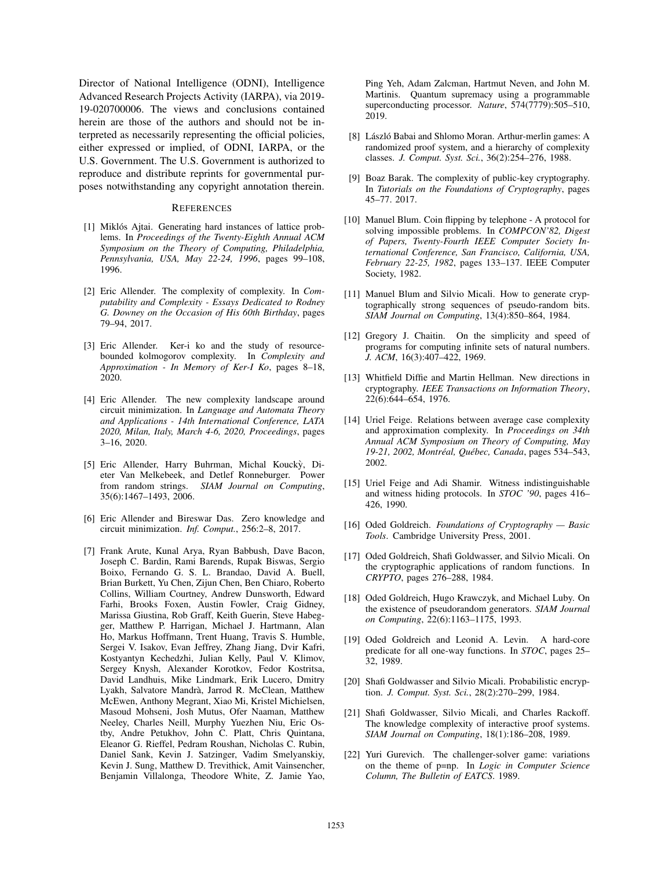Director of National Intelligence (ODNI), Intelligence Advanced Research Projects Activity (IARPA), via 2019- 19-020700006. The views and conclusions contained herein are those of the authors and should not be interpreted as necessarily representing the official policies, either expressed or implied, of ODNI, IARPA, or the U.S. Government. The U.S. Government is authorized to reproduce and distribute reprints for governmental purposes notwithstanding any copyright annotation therein.

#### **REFERENCES**

- [1] Miklós Ajtai. Generating hard instances of lattice problems. In *Proceedings of the Twenty-Eighth Annual ACM Symposium on the Theory of Computing, Philadelphia, Pennsylvania, USA, May 22-24, 1996*, pages 99–108, 1996.
- [2] Eric Allender. The complexity of complexity. In *Computability and Complexity - Essays Dedicated to Rodney G. Downey on the Occasion of His 60th Birthday*, pages 79–94, 2017.
- [3] Eric Allender. Ker-i ko and the study of resourcebounded kolmogorov complexity. In *Complexity and Approximation - In Memory of Ker-I Ko*, pages 8–18, 2020.
- [4] Eric Allender. The new complexity landscape around circuit minimization. In *Language and Automata Theory and Applications - 14th International Conference, LATA 2020, Milan, Italy, March 4-6, 2020, Proceedings*, pages 3–16, 2020.
- [5] Eric Allender, Harry Buhrman, Michal Koucky, Dieter Van Melkebeek, and Detlef Ronneburger. Power from random strings. *SIAM Journal on Computing*, 35(6):1467–1493, 2006.
- [6] Eric Allender and Bireswar Das. Zero knowledge and circuit minimization. *Inf. Comput.*, 256:2–8, 2017.
- [7] Frank Arute, Kunal Arya, Ryan Babbush, Dave Bacon, Joseph C. Bardin, Rami Barends, Rupak Biswas, Sergio Boixo, Fernando G. S. L. Brandao, David A. Buell, Brian Burkett, Yu Chen, Zijun Chen, Ben Chiaro, Roberto Collins, William Courtney, Andrew Dunsworth, Edward Farhi, Brooks Foxen, Austin Fowler, Craig Gidney, Marissa Giustina, Rob Graff, Keith Guerin, Steve Habegger, Matthew P. Harrigan, Michael J. Hartmann, Alan Ho, Markus Hoffmann, Trent Huang, Travis S. Humble, Sergei V. Isakov, Evan Jeffrey, Zhang Jiang, Dvir Kafri, Kostyantyn Kechedzhi, Julian Kelly, Paul V. Klimov, Sergey Knysh, Alexander Korotkov, Fedor Kostritsa, David Landhuis, Mike Lindmark, Erik Lucero, Dmitry Lyakh, Salvatore Mandrà, Jarrod R. McClean, Matthew McEwen, Anthony Megrant, Xiao Mi, Kristel Michielsen, Masoud Mohseni, Josh Mutus, Ofer Naaman, Matthew Neeley, Charles Neill, Murphy Yuezhen Niu, Eric Ostby, Andre Petukhov, John C. Platt, Chris Quintana, Eleanor G. Rieffel, Pedram Roushan, Nicholas C. Rubin, Daniel Sank, Kevin J. Satzinger, Vadim Smelyanskiy, Kevin J. Sung, Matthew D. Trevithick, Amit Vainsencher, Benjamin Villalonga, Theodore White, Z. Jamie Yao,

Ping Yeh, Adam Zalcman, Hartmut Neven, and John M. Martinis. Quantum supremacy using a programmable superconducting processor. *Nature*, 574(7779):505–510, 2019.

- [8] László Babai and Shlomo Moran. Arthur-merlin games: A randomized proof system, and a hierarchy of complexity classes. *J. Comput. Syst. Sci.*, 36(2):254–276, 1988.
- [9] Boaz Barak. The complexity of public-key cryptography. In *Tutorials on the Foundations of Cryptography*, pages 45–77. 2017.
- [10] Manuel Blum. Coin flipping by telephone A protocol for solving impossible problems. In *COMPCON'82, Digest of Papers, Twenty-Fourth IEEE Computer Society International Conference, San Francisco, California, USA, February 22-25, 1982*, pages 133–137. IEEE Computer Society, 1982.
- [11] Manuel Blum and Silvio Micali. How to generate cryptographically strong sequences of pseudo-random bits. *SIAM Journal on Computing*, 13(4):850–864, 1984.
- [12] Gregory J. Chaitin. On the simplicity and speed of programs for computing infinite sets of natural numbers. *J. ACM*, 16(3):407–422, 1969.
- [13] Whitfield Diffie and Martin Hellman. New directions in cryptography. *IEEE Transactions on Information Theory*, 22(6):644–654, 1976.
- [14] Uriel Feige. Relations between average case complexity and approximation complexity. In *Proceedings on 34th Annual ACM Symposium on Theory of Computing, May 19-21, 2002, Montreal, Qu ´ ebec, Canada ´* , pages 534–543, 2002.
- [15] Uriel Feige and Adi Shamir. Witness indistinguishable and witness hiding protocols. In *STOC '90*, pages 416– 426, 1990.
- [16] Oded Goldreich. *Foundations of Cryptography Basic Tools*. Cambridge University Press, 2001.
- [17] Oded Goldreich, Shafi Goldwasser, and Silvio Micali. On the cryptographic applications of random functions. In *CRYPTO*, pages 276–288, 1984.
- [18] Oded Goldreich, Hugo Krawczyk, and Michael Luby. On the existence of pseudorandom generators. *SIAM Journal on Computing*, 22(6):1163–1175, 1993.
- [19] Oded Goldreich and Leonid A. Levin. A hard-core predicate for all one-way functions. In *STOC*, pages 25– 32, 1989.
- [20] Shafi Goldwasser and Silvio Micali. Probabilistic encryption. *J. Comput. Syst. Sci.*, 28(2):270–299, 1984.
- [21] Shafi Goldwasser, Silvio Micali, and Charles Rackoff. The knowledge complexity of interactive proof systems. *SIAM Journal on Computing*, 18(1):186–208, 1989.
- [22] Yuri Gurevich. The challenger-solver game: variations on the theme of p=np. In *Logic in Computer Science Column, The Bulletin of EATCS*. 1989.